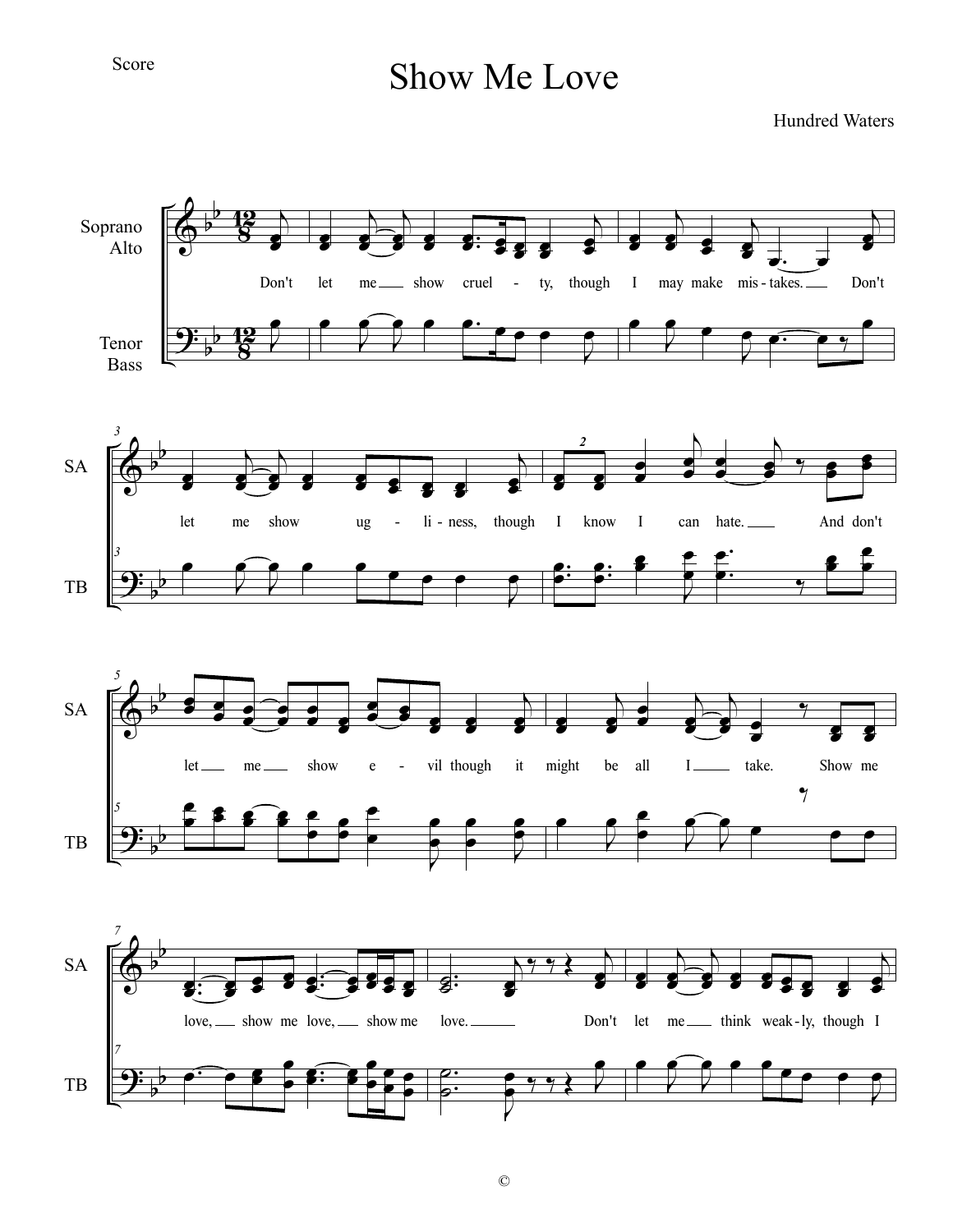## Score

## Show Me Love

Hundred Waters